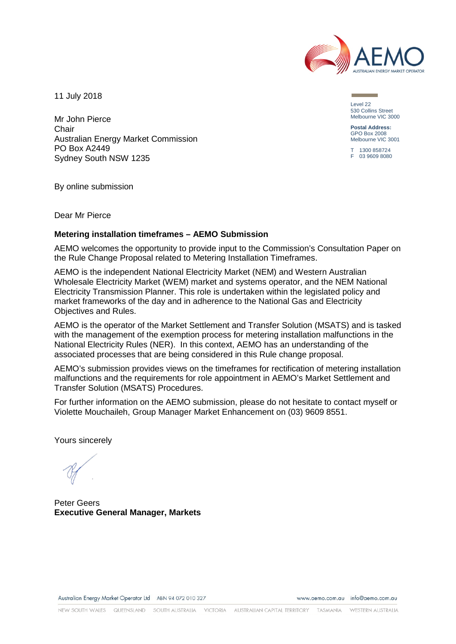

11 July 2018

Mr John Pierce Chair Australian Energy Market Commission PO Box A2449 Sydney South NSW 1235

Level 22 530 Collins Street Melbourne VIC 3000

**Postal Address:** GPO Box 2008 Melbourne VIC 3001

T 1300 858724 F 03 9609 8080

By online submission

Dear Mr Pierce

## **Metering installation timeframes – AEMO Submission**

AEMO welcomes the opportunity to provide input to the Commission's Consultation Paper on the Rule Change Proposal related to Metering Installation Timeframes.

AEMO is the independent National Electricity Market (NEM) and Western Australian Wholesale Electricity Market (WEM) market and systems operator, and the NEM National Electricity Transmission Planner. This role is undertaken within the legislated policy and market frameworks of the day and in adherence to the National Gas and Electricity Objectives and Rules.

AEMO is the operator of the Market Settlement and Transfer Solution (MSATS) and is tasked with the management of the exemption process for metering installation malfunctions in the National Electricity Rules (NER). In this context, AEMO has an understanding of the associated processes that are being considered in this Rule change proposal.

AEMO's submission provides views on the timeframes for rectification of metering installation malfunctions and the requirements for role appointment in AEMO's Market Settlement and Transfer Solution (MSATS) Procedures.

For further information on the AEMO submission, please do not hesitate to contact myself or Violette Mouchaileh, Group Manager Market Enhancement on (03) 9609 8551.

Yours sincerely

Peter Geers **Executive General Manager, Markets**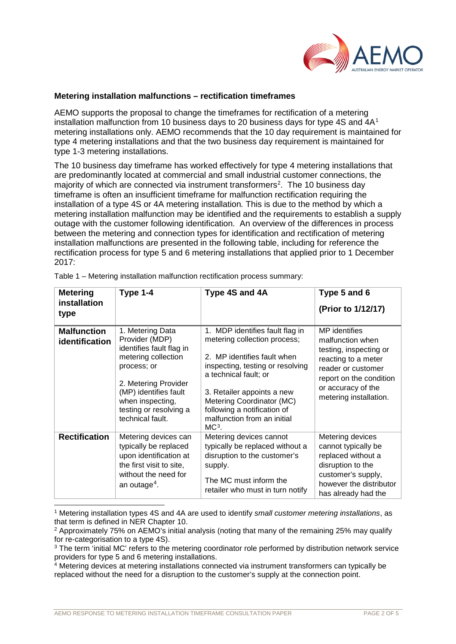

## **Metering installation malfunctions – rectification timeframes**

AEMO supports the proposal to change the timeframes for rectification of a metering installation malfunction from [1](#page-1-0)0 business days to 20 business days for type 4S and  $4A<sup>1</sup>$ metering installations only. AEMO recommends that the 10 day requirement is maintained for type 4 metering installations and that the two business day requirement is maintained for type 1-3 metering installations.

The 10 business day timeframe has worked effectively for type 4 metering installations that are predominantly located at commercial and small industrial customer connections, the majority of which are connected via instrument transformers<sup>[2](#page-1-1)</sup>. The 10 business day timeframe is often an insufficient timeframe for malfunction rectification requiring the installation of a type 4S or 4A metering installation*.* This is due to the method by which a metering installation malfunction may be identified and the requirements to establish a supply outage with the customer following identification. An overview of the differences in process between the metering and connection types for identification and rectification of metering installation malfunctions are presented in the following table, including for reference the rectification process for type 5 and 6 metering installations that applied prior to 1 December 2017:

| <b>Metering</b><br>installation<br>type | Type 1-4                                                                                                                                                                                                                | Type 4S and 4A                                                                                                                                                                                                                                                                                  | Type 5 and 6<br>(Prior to 1/12/17)                                                                                                                                                  |
|-----------------------------------------|-------------------------------------------------------------------------------------------------------------------------------------------------------------------------------------------------------------------------|-------------------------------------------------------------------------------------------------------------------------------------------------------------------------------------------------------------------------------------------------------------------------------------------------|-------------------------------------------------------------------------------------------------------------------------------------------------------------------------------------|
| <b>Malfunction</b><br>identification    | 1. Metering Data<br>Provider (MDP)<br>identifies fault flag in<br>metering collection<br>process; or<br>2. Metering Provider<br>(MP) identifies fault<br>when inspecting,<br>testing or resolving a<br>technical fault. | 1. MDP identifies fault flag in<br>metering collection process;<br>2. MP identifies fault when<br>inspecting, testing or resolving<br>a technical fault; or<br>3. Retailer appoints a new<br>Metering Coordinator (MC)<br>following a notification of<br>malfunction from an initial<br>$MC3$ . | MP identifies<br>malfunction when<br>testing, inspecting or<br>reacting to a meter<br>reader or customer<br>report on the condition<br>or accuracy of the<br>metering installation. |
| <b>Rectification</b>                    | Metering devices can<br>typically be replaced<br>upon identification at<br>the first visit to site,<br>without the need for<br>an outage <sup>4</sup> .                                                                 | Metering devices cannot<br>typically be replaced without a<br>disruption to the customer's<br>supply.<br>The MC must inform the<br>retailer who must in turn notify                                                                                                                             | Metering devices<br>cannot typically be<br>replaced without a<br>disruption to the<br>customer's supply,<br>however the distributor<br>has already had the                          |

Table 1 – Metering installation malfunction rectification process summary:

<span id="page-1-0"></span> 1 Metering installation types 4S and 4A are used to identify *small customer metering installations*, as that term is defined in NER Chapter 10.

<span id="page-1-1"></span><sup>2</sup> Approximately 75% on AEMO's initial analysis (noting that many of the remaining 25% may qualify for re-categorisation to a type 4S).

<span id="page-1-2"></span><sup>3</sup> The term 'initial MC' refers to the metering coordinator role performed by distribution network service providers for type 5 and 6 metering installations.

<span id="page-1-3"></span><sup>4</sup> Metering devices at metering installations connected via instrument transformers can typically be replaced without the need for a disruption to the customer's supply at the connection point.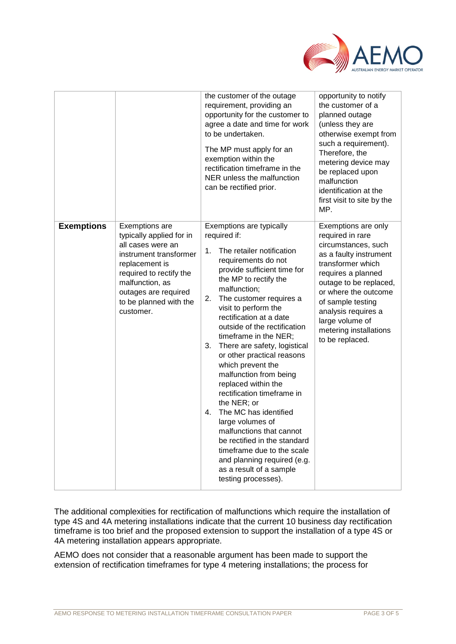

|                   |                                                                                                                                                                                                                          | the customer of the outage<br>requirement, providing an<br>opportunity for the customer to<br>agree a date and time for work<br>to be undertaken.<br>The MP must apply for an<br>exemption within the<br>rectification timeframe in the<br>NER unless the malfunction<br>can be rectified prior.                                                                                                                                                                                                                                                                                                                                                                                                                                             | opportunity to notify<br>the customer of a<br>planned outage<br>(unless they are<br>otherwise exempt from<br>such a requirement).<br>Therefore, the<br>metering device may<br>be replaced upon<br>malfunction<br>identification at the<br>first visit to site by the<br>MP.                       |
|-------------------|--------------------------------------------------------------------------------------------------------------------------------------------------------------------------------------------------------------------------|----------------------------------------------------------------------------------------------------------------------------------------------------------------------------------------------------------------------------------------------------------------------------------------------------------------------------------------------------------------------------------------------------------------------------------------------------------------------------------------------------------------------------------------------------------------------------------------------------------------------------------------------------------------------------------------------------------------------------------------------|---------------------------------------------------------------------------------------------------------------------------------------------------------------------------------------------------------------------------------------------------------------------------------------------------|
| <b>Exemptions</b> | Exemptions are<br>typically applied for in<br>all cases were an<br>instrument transformer<br>replacement is<br>required to rectify the<br>malfunction, as<br>outages are required<br>to be planned with the<br>customer. | Exemptions are typically<br>required if:<br>The retailer notification<br>1.<br>requirements do not<br>provide sufficient time for<br>the MP to rectify the<br>malfunction;<br>2.<br>The customer requires a<br>visit to perform the<br>rectification at a date<br>outside of the rectification<br>timeframe in the NER;<br>There are safety, logistical<br>3.<br>or other practical reasons<br>which prevent the<br>malfunction from being<br>replaced within the<br>rectification timeframe in<br>the NER; or<br>The MC has identified<br>4.<br>large volumes of<br>malfunctions that cannot<br>be rectified in the standard<br>timeframe due to the scale<br>and planning required (e.g.<br>as a result of a sample<br>testing processes). | Exemptions are only<br>required in rare<br>circumstances, such<br>as a faulty instrument<br>transformer which<br>requires a planned<br>outage to be replaced,<br>or where the outcome<br>of sample testing<br>analysis requires a<br>large volume of<br>metering installations<br>to be replaced. |

The additional complexities for rectification of malfunctions which require the installation of type 4S and 4A metering installations indicate that the current 10 business day rectification timeframe is too brief and the proposed extension to support the installation of a type 4S or 4A metering installation appears appropriate.

AEMO does not consider that a reasonable argument has been made to support the extension of rectification timeframes for type 4 metering installations; the process for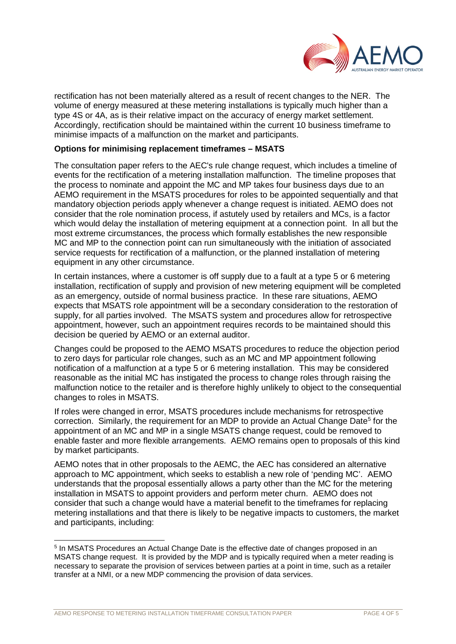

rectification has not been materially altered as a result of recent changes to the NER. The volume of energy measured at these metering installations is typically much higher than a type 4S or 4A, as is their relative impact on the accuracy of energy market settlement. Accordingly, rectification should be maintained within the current 10 business timeframe to minimise impacts of a malfunction on the market and participants.

## **Options for minimising replacement timeframes – MSATS**

The consultation paper refers to the AEC's rule change request, which includes a timeline of events for the rectification of a metering installation malfunction. The timeline proposes that the process to nominate and appoint the MC and MP takes four business days due to an AEMO requirement in the MSATS procedures for roles to be appointed sequentially and that mandatory objection periods apply whenever a change request is initiated. AEMO does not consider that the role nomination process, if astutely used by retailers and MCs, is a factor which would delay the installation of metering equipment at a connection point. In all but the most extreme circumstances, the process which formally establishes the new responsible MC and MP to the connection point can run simultaneously with the initiation of associated service requests for rectification of a malfunction, or the planned installation of metering equipment in any other circumstance.

In certain instances, where a customer is off supply due to a fault at a type 5 or 6 metering installation, rectification of supply and provision of new metering equipment will be completed as an emergency, outside of normal business practice. In these rare situations, AEMO expects that MSATS role appointment will be a secondary consideration to the restoration of supply, for all parties involved. The MSATS system and procedures allow for retrospective appointment, however, such an appointment requires records to be maintained should this decision be queried by AEMO or an external auditor.

Changes could be proposed to the AEMO MSATS procedures to reduce the objection period to zero days for particular role changes, such as an MC and MP appointment following notification of a malfunction at a type 5 or 6 metering installation. This may be considered reasonable as the initial MC has instigated the process to change roles through raising the malfunction notice to the retailer and is therefore highly unlikely to object to the consequential changes to roles in MSATS.

If roles were changed in error, MSATS procedures include mechanisms for retrospective correction. Similarly, the requirement for an MDP to provide an Actual Change Date<sup>5</sup> for the appointment of an MC and MP in a single MSATS change request, could be removed to enable faster and more flexible arrangements. AEMO remains open to proposals of this kind by market participants.

AEMO notes that in other proposals to the AEMC, the AEC has considered an alternative approach to MC appointment, which seeks to establish a new role of 'pending MC'. AEMO understands that the proposal essentially allows a party other than the MC for the metering installation in MSATS to appoint providers and perform meter churn. AEMO does not consider that such a change would have a material benefit to the timeframes for replacing metering installations and that there is likely to be negative impacts to customers, the market and participants, including:

<span id="page-3-0"></span> <sup>5</sup> In MSATS Procedures an Actual Change Date is the effective date of changes proposed in an MSATS change request. It is provided by the MDP and is typically required when a meter reading is necessary to separate the provision of services between parties at a point in time, such as a retailer transfer at a NMI, or a new MDP commencing the provision of data services.